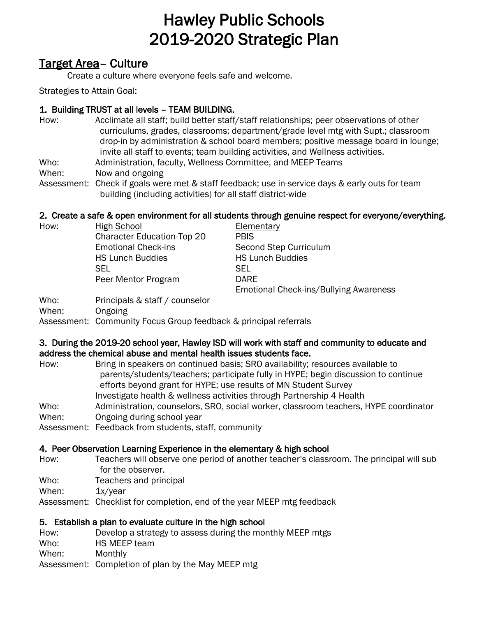# Hawley Public Schools 2019-2020 Strategic Plan

# Target Area– Culture

Create a culture where everyone feels safe and welcome.

Strategies to Attain Goal:

## 1. Building TRUST at all levels – TEAM BUILDING.

- How: Acclimate all staff; build better staff/staff relationships; peer observations of other curriculums, grades, classrooms; department/grade level mtg with Supt.; classroom drop-in by administration & school board members; positive message board in lounge; invite all staff to events; team building activities, and Wellness activities.
- Who: Administration, faculty, Wellness Committee, and MEEP Teams
- When: Now and ongoing
- Assessment: Check if goals were met & staff feedback; use in-service days & early outs for team building (including activities) for all staff district-wide

## 2. Create a safe & open environment for all students through genuine respect for everyone/everything.

How: High School Elementary Character Education-Top 20 PBIS Emotional Check-ins Second Step Curriculum HS Lunch Buddies HS Lunch Buddies SEL SEL Peer Mentor Program DARE Emotional Check-ins/Bullying Awareness

Who: Principals & staff / counselor

When: Ongoing

Assessment: Community Focus Group feedback & principal referrals

### 3. During the 2019-20 school year, Hawley ISD will work with staff and community to educate and address the chemical abuse and mental health issues students face.

| Bring in speakers on continued basis; SRO availability; resources available to       |
|--------------------------------------------------------------------------------------|
| parents/students/teachers; participate fully in HYPE; begin discussion to continue   |
| efforts beyond grant for HYPE; use results of MN Student Survey                      |
| Investigate health & wellness activities through Partnership 4 Health                |
| Administration, counselors, SRO, social worker, classroom teachers, HYPE coordinator |
| Ongoing during school year                                                           |
| Assessment: Feedback from students, staff, community                                 |
|                                                                                      |

## 4. Peer Observation Learning Experience in the elementary & high school

- How: Teachers will observe one period of another teacher's classroom. The principal will sub for the observer.
- Who: Teachers and principal
- When: 1x/year

Assessment: Checklist for completion, end of the year MEEP mtg feedback

## 5. Establish a plan to evaluate culture in the high school

| How:  | Develop a strategy to assess during the monthly MEEP mtgs |
|-------|-----------------------------------------------------------|
| Who:  | HS MEEP team                                              |
| When: | Monthly                                                   |
|       | Assessment: Completion of plan by the May MEEP mtg        |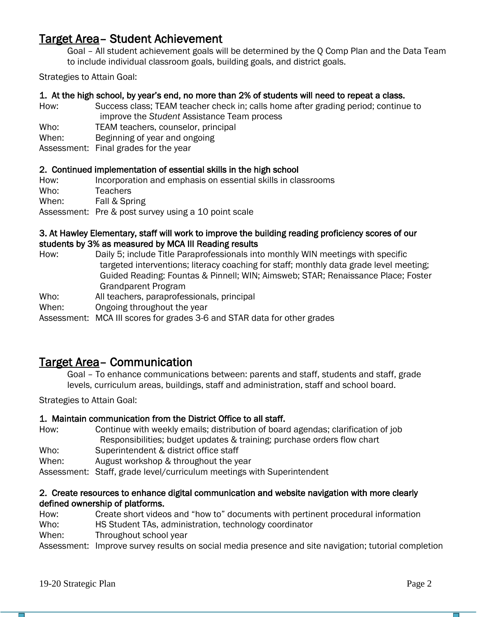# Target Area– Student Achievement

Goal – All student achievement goals will be determined by the Q Comp Plan and the Data Team to include individual classroom goals, building goals, and district goals.

Strategies to Attain Goal:

#### 1. At the high school, by year's end, no more than 2% of students will need to repeat a class.

How: Success class; TEAM teacher check in; calls home after grading period; continue to improve the *Student* Assistance Team process

Who: TEAM teachers, counselor, principal

- When: Beginning of year and ongoing
- Assessment: Final grades for the year

#### 2. Continued implementation of essential skills in the high school

How: Incorporation and emphasis on essential skills in classrooms Who: Teachers

When: Fall & Spring

Assessment: Pre & post survey using a 10 point scale

#### 3. At Hawley Elementary, staff will work to improve the building reading proficiency scores of our students by 3% as measured by MCA III Reading results

- How: Daily 5; include Title Paraprofessionals into monthly WIN meetings with specific targeted interventions; literacy coaching for staff; monthly data grade level meeting; Guided Reading: Fountas & Pinnell; WIN; Aimsweb; STAR; Renaissance Place; Foster Grandparent Program
- Who: All teachers, paraprofessionals, principal
- When: Ongoing throughout the year

Assessment: MCA III scores for grades 3-6 and STAR data for other grades

# Target Area– Communication

Goal – To enhance communications between: parents and staff, students and staff, grade levels, curriculum areas, buildings, staff and administration, staff and school board.

Strategies to Attain Goal:

#### 1. Maintain communication from the District Office to all staff.

- How: Continue with weekly emails; distribution of board agendas; clarification of job Responsibilities; budget updates & training; purchase orders flow chart
- Who: Superintendent & district office staff
- When: August workshop & throughout the year

Assessment: Staff, grade level/curriculum meetings with Superintendent

#### 2. Create resources to enhance digital communication and website navigation with more clearly defined ownership of platforms.

How: Create short videos and "how to" documents with pertinent procedural information Who: HS Student TAs, administration, technology coordinator

When: Throughout school year

Assessment: Improve survey results on social media presence and site navigation; tutorial completion